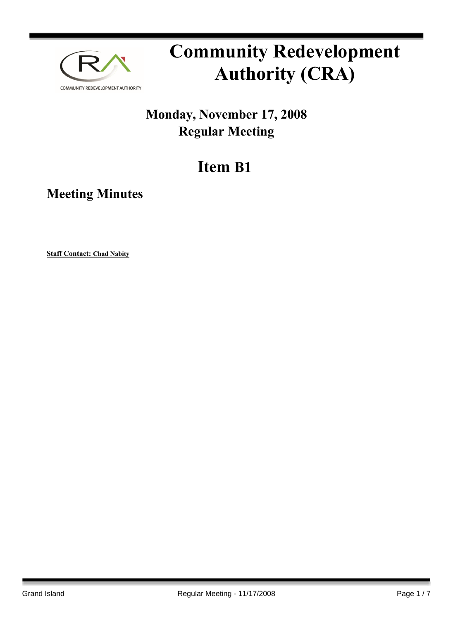

# **Community Redevelopment Authority (CRA)**

### **Monday, November 17, 2008 Regular Meeting**

## **Item B1**

**Meeting Minutes**

**Staff Contact: Chad Nabity**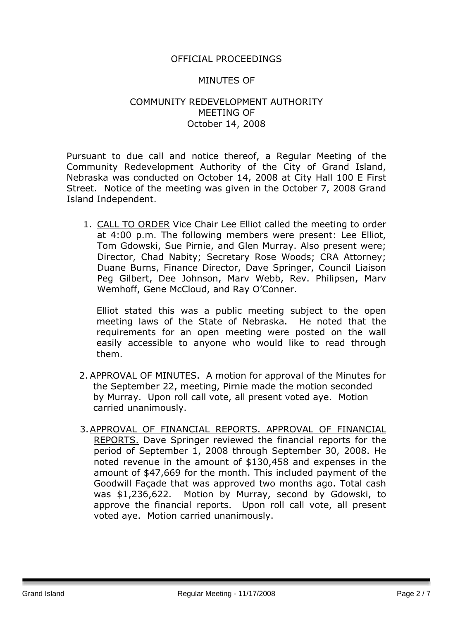#### OFFICIAL PROCEEDINGS

#### MINUTES OF

#### COMMUNITY REDEVELOPMENT AUTHORITY MEETING OF October 14, 2008

Pursuant to due call and notice thereof, a Regular Meeting of the Community Redevelopment Authority of the City of Grand Island, Nebraska was conducted on October 14, 2008 at City Hall 100 E First Street. Notice of the meeting was given in the October 7, 2008 Grand Island Independent.

1. CALL TO ORDER Vice Chair Lee Elliot called the meeting to order at 4:00 p.m. The following members were present: Lee Elliot, Tom Gdowski, Sue Pirnie, and Glen Murray. Also present were; Director, Chad Nabity; Secretary Rose Woods; CRA Attorney; Duane Burns, Finance Director, Dave Springer, Council Liaison Peg Gilbert, Dee Johnson, Marv Webb, Rev. Philipsen, Marv Wemhoff, Gene McCloud, and Ray O'Conner.

Elliot stated this was a public meeting subject to the open meeting laws of the State of Nebraska. He noted that the requirements for an open meeting were posted on the wall easily accessible to anyone who would like to read through them.

- 2. APPROVAL OF MINUTES. A motion for approval of the Minutes for the September 22, meeting, Pirnie made the motion seconded by Murray. Upon roll call vote, all present voted aye. Motion carried unanimously.
- 3.APPROVAL OF FINANCIAL REPORTS. APPROVAL OF FINANCIAL REPORTS. Dave Springer reviewed the financial reports for the period of September 1, 2008 through September 30, 2008. He noted revenue in the amount of \$130,458 and expenses in the amount of \$47,669 for the month. This included payment of the Goodwill Façade that was approved two months ago. Total cash was \$1,236,622. Motion by Murray, second by Gdowski, to approve the financial reports. Upon roll call vote, all present voted aye. Motion carried unanimously.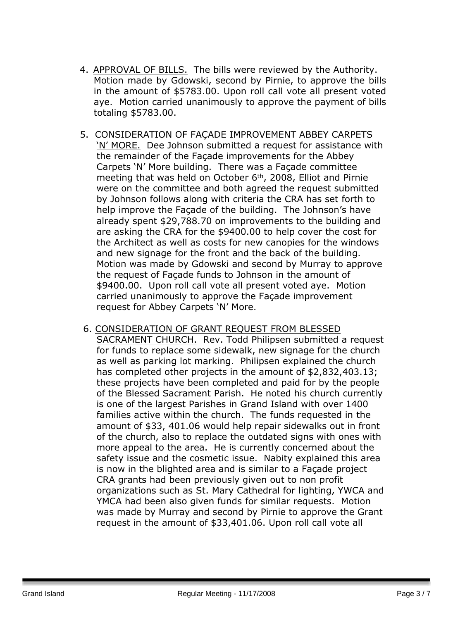- 4. APPROVAL OF BILLS. The bills were reviewed by the Authority. Motion made by Gdowski, second by Pirnie, to approve the bills in the amount of \$5783.00. Upon roll call vote all present voted aye. Motion carried unanimously to approve the payment of bills totaling \$5783.00.
- 5. CONSIDERATION OF FAÇADE IMPROVEMENT ABBEY CARPETS 'N' MORE. Dee Johnson submitted a request for assistance with the remainder of the Façade improvements for the Abbey Carpets 'N' More building. There was a Façade committee meeting that was held on October 6<sup>th</sup>, 2008, Elliot and Pirnie were on the committee and both agreed the request submitted by Johnson follows along with criteria the CRA has set forth to help improve the Façade of the building. The Johnson's have already spent \$29,788.70 on improvements to the building and are asking the CRA for the \$9400.00 to help cover the cost for the Architect as well as costs for new canopies for the windows and new signage for the front and the back of the building. Motion was made by Gdowski and second by Murray to approve the request of Façade funds to Johnson in the amount of \$9400.00. Upon roll call vote all present voted aye. Motion carried unanimously to approve the Façade improvement request for Abbey Carpets 'N' More.
- 6. CONSIDERATION OF GRANT REQUEST FROM BLESSED SACRAMENT CHURCH. Rev. Todd Philipsen submitted a request for funds to replace some sidewalk, new signage for the church as well as parking lot marking. Philipsen explained the church has completed other projects in the amount of \$2,832,403.13; these projects have been completed and paid for by the people of the Blessed Sacrament Parish. He noted his church currently is one of the largest Parishes in Grand Island with over 1400 families active within the church. The funds requested in the amount of \$33, 401.06 would help repair sidewalks out in front of the church, also to replace the outdated signs with ones with more appeal to the area. He is currently concerned about the safety issue and the cosmetic issue. Nabity explained this area is now in the blighted area and is similar to a Façade project CRA grants had been previously given out to non profit organizations such as St. Mary Cathedral for lighting, YWCA and YMCA had been also given funds for similar requests. Motion was made by Murray and second by Pirnie to approve the Grant request in the amount of \$33,401.06. Upon roll call vote all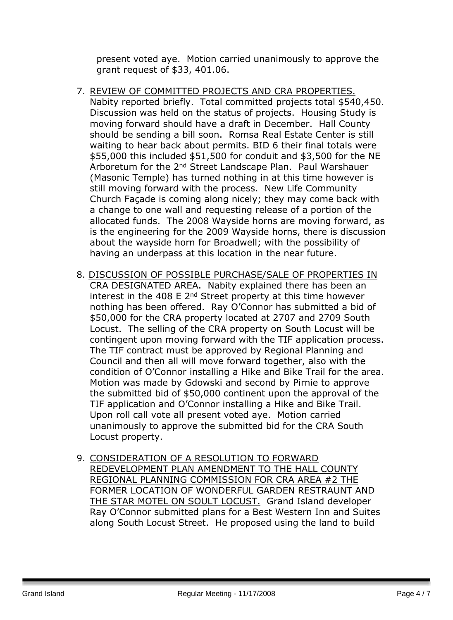present voted aye. Motion carried unanimously to approve the grant request of \$33, 401.06.

- 7. REVIEW OF COMMITTED PROJECTS AND CRA PROPERTIES. Nabity reported briefly. Total committed projects total \$540,450. Discussion was held on the status of projects. Housing Study is moving forward should have a draft in December. Hall County should be sending a bill soon. Romsa Real Estate Center is still waiting to hear back about permits. BID 6 their final totals were \$55,000 this included \$51,500 for conduit and \$3,500 for the NE Arboretum for the 2nd Street Landscape Plan. Paul Warshauer (Masonic Temple) has turned nothing in at this time however is still moving forward with the process. New Life Community Church Façade is coming along nicely; they may come back with a change to one wall and requesting release of a portion of the allocated funds. The 2008 Wayside horns are moving forward, as is the engineering for the 2009 Wayside horns, there is discussion about the wayside horn for Broadwell; with the possibility of having an underpass at this location in the near future.
- 8. DISCUSSION OF POSSIBLE PURCHASE/SALE OF PROPERTIES IN CRA DESIGNATED AREA. Nabity explained there has been an interest in the 408 E  $2<sup>nd</sup>$  Street property at this time however nothing has been offered. Ray O'Connor has submitted a bid of \$50,000 for the CRA property located at 2707 and 2709 South Locust. The selling of the CRA property on South Locust will be contingent upon moving forward with the TIF application process. The TIF contract must be approved by Regional Planning and Council and then all will move forward together, also with the condition of O'Connor installing a Hike and Bike Trail for the area. Motion was made by Gdowski and second by Pirnie to approve the submitted bid of \$50,000 continent upon the approval of the TIF application and O'Connor installing a Hike and Bike Trail. Upon roll call vote all present voted aye. Motion carried unanimously to approve the submitted bid for the CRA South Locust property.
- 9. CONSIDERATION OF A RESOLUTION TO FORWARD REDEVELOPMENT PLAN AMENDMENT TO THE HALL COUNTY REGIONAL PLANNING COMMISSION FOR CRA AREA #2 THE FORMER LOCATION OF WONDERFUL GARDEN RESTRAUNT AND THE STAR MOTEL ON SOULT LOCUST. Grand Island developer Ray O'Connor submitted plans for a Best Western Inn and Suites along South Locust Street. He proposed using the land to build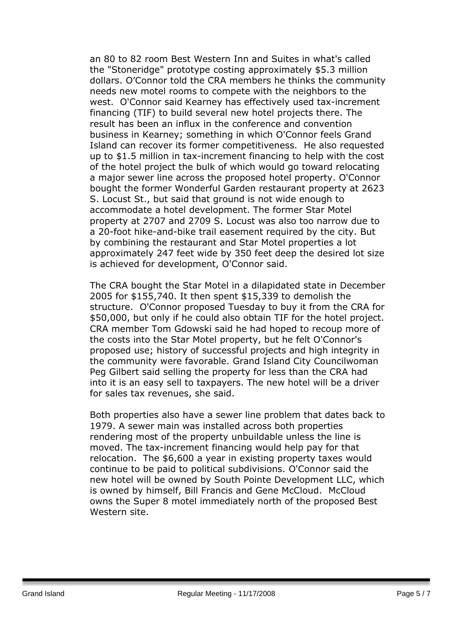an 80 to 82 room Best Western Inn and Suites in what's called the "Stoneridge" prototype costing approximately \$5.3 million dollars. O'Connor told the CRA members he thinks the community needs new motel rooms to compete with the neighbors to the west. O'Connor said Kearney has effectively used tax-increment financing (TIF) to build several new hotel projects there. The result has been an influx in the conference and convention business in Kearney; something in which O'Connor feels Grand Island can recover its former competitiveness. He also requested up to \$1.5 million in tax-increment financing to help with the cost of the hotel project the bulk of which would go toward relocating a major sewer line across the proposed hotel property. O'Connor bought the former Wonderful Garden restaurant property at 2623 S. Locust St., but said that ground is not wide enough to accommodate a hotel development. The former Star Motel property at 2707 and 2709 S. Locust was also too narrow due to a 20-foot hike-and-bike trail easement required by the city. But by combining the restaurant and Star Motel properties a lot approximately 247 feet wide by 350 feet deep the desired lot size is achieved for development, O'Connor said.

The CRA bought the Star Motel in a dilapidated state in December 2005 for \$155,740. It then spent \$15,339 to demolish the structure. O'Connor proposed Tuesday to buy it from the CRA for \$50,000, but only if he could also obtain TIF for the hotel project. CRA member Tom Gdowski said he had hoped to recoup more of the costs into the Star Motel property, but he felt O'Connor's proposed use; history of successful projects and high integrity in the community were favorable. Grand Island City Councilwoman Peg Gilbert said selling the property for less than the CRA had into it is an easy sell to taxpayers. The new hotel will be a driver for sales tax revenues, she said.

Both properties also have a sewer line problem that dates back to 1979. A sewer main was installed across both properties rendering most of the property unbuildable unless the line is moved. The tax-increment financing would help pay for that relocation. The \$6,600 a year in existing property taxes would continue to be paid to political subdivisions. O'Connor said the new hotel will be owned by South Pointe Development LLC, which is owned by himself, Bill Francis and Gene McCloud. McCloud owns the Super 8 motel immediately north of the proposed Best Western site.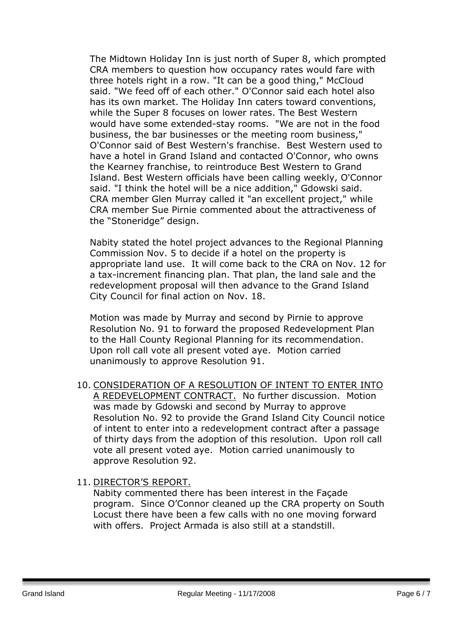The Midtown Holiday Inn is just north of Super 8, which prompted CRA members to question how occupancy rates would fare with three hotels right in a row. "It can be a good thing," McCloud said. "We feed off of each other." O'Connor said each hotel also has its own market. The Holiday Inn caters toward conventions, while the Super 8 focuses on lower rates. The Best Western would have some extended-stay rooms. "We are not in the food business, the bar businesses or the meeting room business," O'Connor said of Best Western's franchise. Best Western used to have a hotel in Grand Island and contacted O'Connor, who owns the Kearney franchise, to reintroduce Best Western to Grand Island. Best Western officials have been calling weekly, O'Connor said. "I think the hotel will be a nice addition," Gdowski said. CRA member Glen Murray called it "an excellent project," while CRA member Sue Pirnie commented about the attractiveness of the "Stoneridge" design.

Nabity stated the hotel project advances to the Regional Planning Commission Nov. 5 to decide if a hotel on the property is appropriate land use. It will come back to the CRA on Nov. 12 for a tax-increment financing plan. That plan, the land sale and the redevelopment proposal will then advance to the Grand Island City Council for final action on Nov. 18.

Motion was made by Murray and second by Pirnie to approve Resolution No. 91 to forward the proposed Redevelopment Plan to the Hall County Regional Planning for its recommendation. Upon roll call vote all present voted aye. Motion carried unanimously to approve Resolution 91.

- 10. CONSIDERATION OF A RESOLUTION OF INTENT TO ENTER INTO A REDEVELOPMENT CONTRACT. No further discussion. Motion was made by Gdowski and second by Murray to approve Resolution No. 92 to provide the Grand Island City Council notice of intent to enter into a redevelopment contract after a passage of thirty days from the adoption of this resolution. Upon roll call vote all present voted aye. Motion carried unanimously to approve Resolution 92.
- 11. DIRECTOR'S REPORT.

Nabity commented there has been interest in the Façade program. Since O'Connor cleaned up the CRA property on South Locust there have been a few calls with no one moving forward with offers. Project Armada is also still at a standstill.